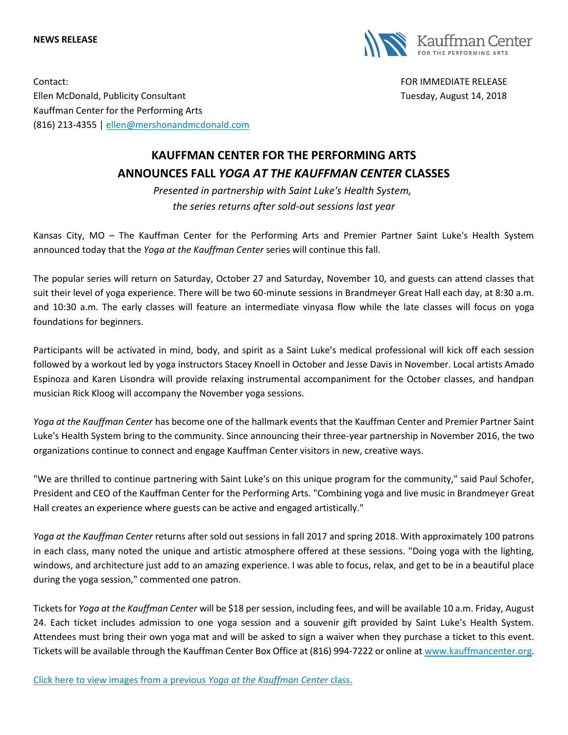## **NEWS RELEASE**



Contact: FOR IMMEDIATE RELEASE Ellen McDonald, Publicity Consultant Tuesday, August 14, 2018 Kauffman Center for the Performing Arts (816) 213-4355 [| ellen@mershonandmcdonald.com](mailto:ellen@mershonandmcdonald.com)

## **KAUFFMAN CENTER FOR THE PERFORMING ARTS ANNOUNCES FALL** *YOGA AT THE KAUFFMAN CENTER* **CLASSES**

*Presented in partnership with Saint Luke's Health System, the series returns after sold-out sessions last year*

Kansas City, MO – The Kauffman Center for the Performing Arts and Premier Partner Saint Luke's Health System announced today that the *Yoga at the Kauffman Center* series will continue this fall.

The popular series will return on Saturday, October 27 and Saturday, November 10, and guests can attend classes that suit their level of yoga experience. There will be two 60-minute sessions in Brandmeyer Great Hall each day, at 8:30 a.m. and 10:30 a.m. The early classes will feature an intermediate vinyasa flow while the late classes will focus on yoga foundations for beginners.

Participants will be activated in mind, body, and spirit as a Saint Luke's medical professional will kick off each session followed by a workout led by yoga instructors Stacey Knoell in October and Jesse Davis in November. Local artists Amado Espinoza and Karen Lisondra will provide relaxing instrumental accompaniment for the October classes, and handpan musician Rick Kloog will accompany the November yoga sessions.

*Yoga at the Kauffman Center* has become one of the hallmark events that the Kauffman Center and Premier Partner Saint Luke's Health System bring to the community. Since announcing their three-year partnership in November 2016, the two organizations continue to connect and engage Kauffman Center visitors in new, creative ways.

"We are thrilled to continue partnering with Saint Luke's on this unique program for the community," said Paul Schofer, President and CEO of the Kauffman Center for the Performing Arts. "Combining yoga and live music in Brandmeyer Great Hall creates an experience where guests can be active and engaged artistically."

*Yoga at the Kauffman Center* returns after sold out sessions in fall 2017 and spring 2018. With approximately 100 patrons in each class, many noted the unique and artistic atmosphere offered at these sessions. "Doing yoga with the lighting, windows, and architecture just add to an amazing experience. I was able to focus, relax, and get to be in a beautiful place during the yoga session," commented one patron.

Tickets for *Yoga at the Kauffman Center* will be \$18 per session, including fees, and will be available 10 a.m. Friday, August 24. Each ticket includes admission to one yoga session and a souvenir gift provided by Saint Luke's Health System. Attendees must bring their own yoga mat and will be asked to sign a waiver when they purchase a ticket to this event. Tickets will be available through the Kauffman Center Box Office at (816) 994-7222 or online at [www.kauffmancenter.org.](http://email.wordfly.com/click?sid=MTc4Xzk1NzZfMTMxMTFfNjk1NA&l=fe37a418-3e97-e811-bcb0-e61f134a8c87&utm_source=wordfly&utm_medium=email&utm_campaign=PressRelease%3AFall2018YogaEvents&utm_content=version_A&sourceNumber=)